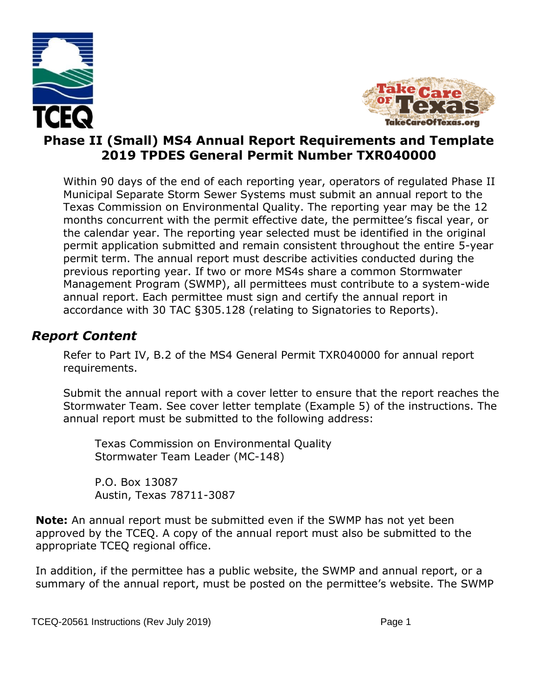



#### **Phase II (Small) MS4 Annual Report Requirements and Template 2019 TPDES General Permit Number TXR040000**

Within 90 days of the end of each reporting year, operators of regulated Phase II Municipal Separate Storm Sewer Systems must submit an annual report to the Texas Commission on Environmental Quality. The reporting year may be the 12 months concurrent with the permit effective date, the permittee's fiscal year, or the calendar year. The reporting year selected must be identified in the original permit application submitted and remain consistent throughout the entire 5-year permit term. The annual report must describe activities conducted during the previous reporting year. If two or more MS4s share a common Stormwater Management Program (SWMP), all permittees must contribute to a system-wide annual report. Each permittee must sign and certify the annual report in accordance with 30 TAC §305.128 (relating to Signatories to Reports).

#### *Report Content*

Refer to Part IV, B.2 of the MS4 General Permit TXR040000 for annual report requirements.

Submit the annual report with a cover letter to ensure that the report reaches the Stormwater Team. See cover letter template (Example 5) of the instructions. The annual report must be submitted to the following address:

Texas Commission on Environmental Quality Stormwater Team Leader (MC-148)

P.O. Box 13087 Austin, Texas 78711-3087

**Note:** An annual report must be submitted even if the SWMP has not yet been approved by the TCEQ. A copy of the annual report must also be submitted to the appropriate TCEQ regional office.

In addition, if the permittee has a public website, the SWMP and annual report, or a summary of the annual report, must be posted on the permittee's website. The SWMP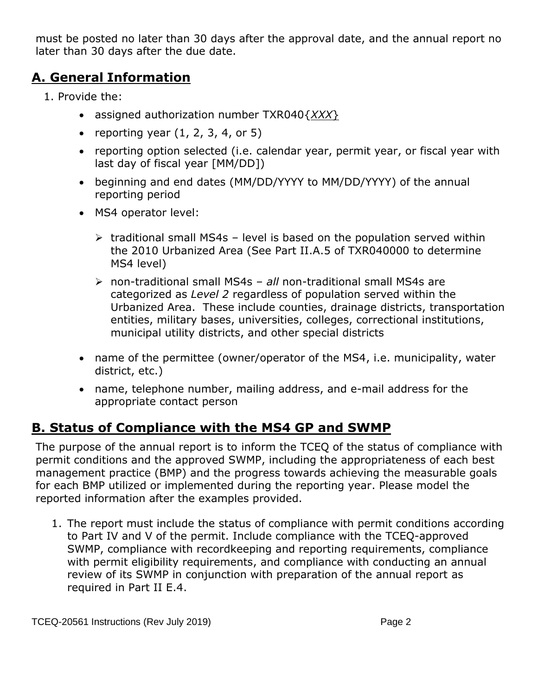must be posted no later than 30 days after the approval date, and the annual report no later than 30 days after the due date.

#### **A. General Information**

- 1. Provide the:
	- assigned authorization number TXR040{*XXX*}
	- reporting year  $(1, 2, 3, 4, 6r)$
	- reporting option selected (i.e. calendar year, permit year, or fiscal year with last day of fiscal year [MM/DD])
	- beginning and end dates (MM/DD/YYYY to MM/DD/YYYY) of the annual reporting period
	- MS4 operator level:
		- $\triangleright$  traditional small MS4s level is based on the population served within the 2010 Urbanized Area (See Part II.A.5 of TXR040000 to determine MS4 level)
		- ➢ non-traditional small MS4s *all* non-traditional small MS4s are categorized as *Level 2* regardless of population served within the Urbanized Area. These include counties, drainage districts, transportation entities, military bases, universities, colleges, correctional institutions, municipal utility districts, and other special districts
	- name of the permittee (owner/operator of the MS4, i.e. municipality, water district, etc.)
	- name, telephone number, mailing address, and e-mail address for the appropriate contact person

#### **B. Status of Compliance with the MS4 GP and SWMP**

The purpose of the annual report is to inform the TCEQ of the status of compliance with permit conditions and the approved SWMP, including the appropriateness of each best management practice (BMP) and the progress towards achieving the measurable goals for each BMP utilized or implemented during the reporting year. Please model the reported information after the examples provided.

1. The report must include the status of compliance with permit conditions according to Part IV and V of the permit. Include compliance with the TCEQ-approved SWMP, compliance with recordkeeping and reporting requirements, compliance with permit eligibility requirements, and compliance with conducting an annual review of its SWMP in conjunction with preparation of the annual report as required in Part II E.4.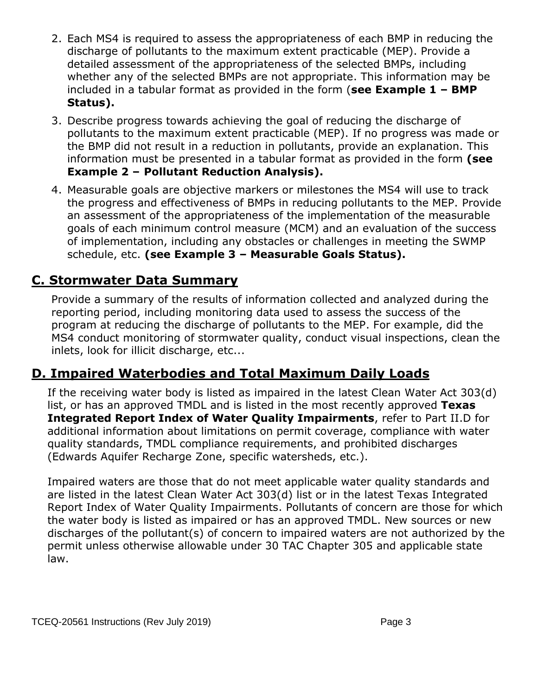- 2. Each MS4 is required to assess the appropriateness of each BMP in reducing the discharge of pollutants to the maximum extent practicable (MEP). Provide a detailed assessment of the appropriateness of the selected BMPs, including whether any of the selected BMPs are not appropriate. This information may be included in a tabular format as provided in the form (**see Example 1 – BMP Status).**
- 3. Describe progress towards achieving the goal of reducing the discharge of pollutants to the maximum extent practicable (MEP). If no progress was made or the BMP did not result in a reduction in pollutants, provide an explanation. This information must be presented in a tabular format as provided in the form **(see Example 2 – Pollutant Reduction Analysis).**
- 4. Measurable goals are objective markers or milestones the MS4 will use to track the progress and effectiveness of BMPs in reducing pollutants to the MEP. Provide an assessment of the appropriateness of the implementation of the measurable goals of each minimum control measure (MCM) and an evaluation of the success of implementation, including any obstacles or challenges in meeting the SWMP schedule, etc. **(see Example 3 – Measurable Goals Status).**

#### **C. Stormwater Data Summary**

Provide a summary of the results of information collected and analyzed during the reporting period, including monitoring data used to assess the success of the program at reducing the discharge of pollutants to the MEP. For example, did the MS4 conduct monitoring of stormwater quality, conduct visual inspections, clean the inlets, look for illicit discharge, etc...

### **D. Impaired Waterbodies and Total Maximum Daily Loads**

If the receiving water body is listed as impaired in the latest Clean Water Act 303(d) list, or has an approved TMDL and is listed in the most recently approved **Texas Integrated Report Index of Water Quality Impairments**, refer to Part II.D for additional information about limitations on permit coverage, compliance with water quality standards, TMDL compliance requirements, and prohibited discharges (Edwards Aquifer Recharge Zone, specific watersheds, etc.).

Impaired waters are those that do not meet applicable water quality standards and are listed in the latest Clean Water Act 303(d) list or in the latest Texas Integrated Report Index of Water Quality Impairments. Pollutants of concern are those for which the water body is listed as impaired or has an approved TMDL. New sources or new discharges of the pollutant(s) of concern to impaired waters are not authorized by the permit unless otherwise allowable under 30 TAC Chapter 305 and applicable state law.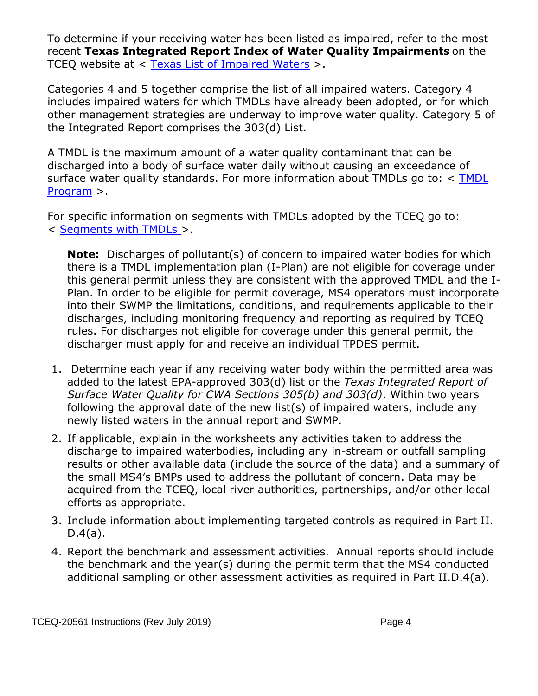To determine if your receiving water has been listed as impaired, refer to the most recent **Texas Integrated Report Index of Water Quality Impairments** on the TCEQ website at < [Texas List of Impaired Waters](https://www.tceq.texas.gov/waterquality/assessment/14twqi/14txir) >.

Categories 4 and 5 together comprise the list of all impaired waters. Category 4 includes impaired waters for which TMDLs have already been adopted, or for which other management strategies are underway to improve water quality. Category 5 of the Integrated Report comprises the 303(d) List.

A TMDL is the maximum amount of a water quality contaminant that can be discharged into a body of surface water daily without causing an exceedance of surface water quality standards. For more information about TMDLs go to: < TMDL [Program](http://www.tceq.texas.gov/waterquality/tmdl/index.html) >.

For specific information on segments with TMDLs adopted by the TCEQ go to: < [Segments with TMDLs](https://www.tceq.texas.gov/waterquality/tmdl/nav/tmdlsegments) >.

**Note:** Discharges of pollutant(s) of concern to impaired water bodies for which there is a TMDL implementation plan (I-Plan) are not eligible for coverage under this general permit unless they are consistent with the approved TMDL and the I-Plan. In order to be eligible for permit coverage, MS4 operators must incorporate into their SWMP the limitations, conditions, and requirements applicable to their discharges, including monitoring frequency and reporting as required by TCEQ rules. For discharges not eligible for coverage under this general permit, the discharger must apply for and receive an individual TPDES permit.

- 1. Determine each year if any receiving water body within the permitted area was added to the latest EPA-approved 303(d) list or the *Texas Integrated Report of Surface Water Quality for CWA Sections 305(b) and 303(d)*. Within two years following the approval date of the new list(s) of impaired waters, include any newly listed waters in the annual report and SWMP.
- 2. If applicable, explain in the worksheets any activities taken to address the discharge to impaired waterbodies, including any in-stream or outfall sampling results or other available data (include the source of the data) and a summary of the small MS4's BMPs used to address the pollutant of concern. Data may be acquired from the TCEQ, local river authorities, partnerships, and/or other local efforts as appropriate.
- 3. Include information about implementing targeted controls as required in Part II.  $D.4(a)$ .
- 4. Report the benchmark and assessment activities. Annual reports should include the benchmark and the year(s) during the permit term that the MS4 conducted additional sampling or other assessment activities as required in Part II.D.4(a).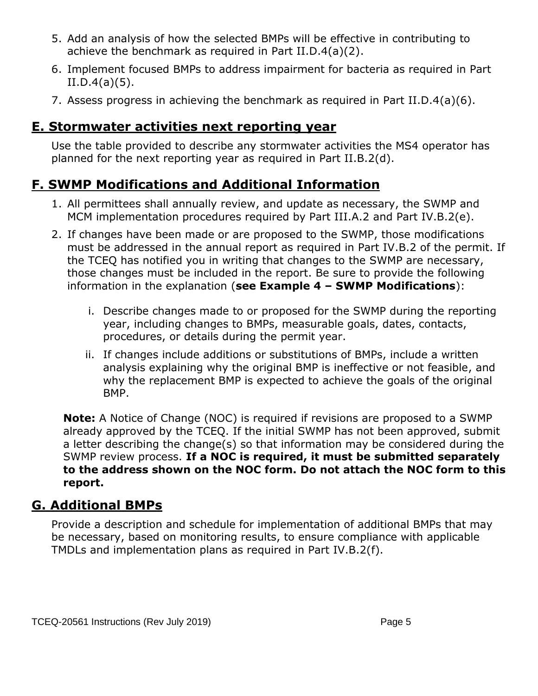- 5. Add an analysis of how the selected BMPs will be effective in contributing to achieve the benchmark as required in Part II.D.4(a)(2).
- 6. Implement focused BMPs to address impairment for bacteria as required in Part  $II.D.4(a)(5)$ .
- 7. Assess progress in achieving the benchmark as required in Part II.D.4(a)(6).

#### **E. Stormwater activities next reporting year**

Use the table provided to describe any stormwater activities the MS4 operator has planned for the next reporting year as required in Part II.B.2(d).

### **F. SWMP Modifications and Additional Information**

- 1. All permittees shall annually review, and update as necessary, the SWMP and MCM implementation procedures required by Part III.A.2 and Part IV.B.2(e).
- 2. If changes have been made or are proposed to the SWMP, those modifications must be addressed in the annual report as required in Part IV.B.2 of the permit. If the TCEQ has notified you in writing that changes to the SWMP are necessary, those changes must be included in the report. Be sure to provide the following information in the explanation (**see Example 4 – SWMP Modifications**):
	- i. Describe changes made to or proposed for the SWMP during the reporting year, including changes to BMPs, measurable goals, dates, contacts, procedures, or details during the permit year.
	- ii. If changes include additions or substitutions of BMPs, include a written analysis explaining why the original BMP is ineffective or not feasible, and why the replacement BMP is expected to achieve the goals of the original BMP.

**Note:** A Notice of Change (NOC) is required if revisions are proposed to a SWMP already approved by the TCEQ. If the initial SWMP has not been approved, submit a letter describing the change(s) so that information may be considered during the SWMP review process. **If a NOC is required, it must be submitted separately to the address shown on the NOC form. Do not attach the NOC form to this report.**

#### **G. Additional BMPs**

Provide a description and schedule for implementation of additional BMPs that may be necessary, based on monitoring results, to ensure compliance with applicable TMDLs and implementation plans as required in Part IV.B.2(f).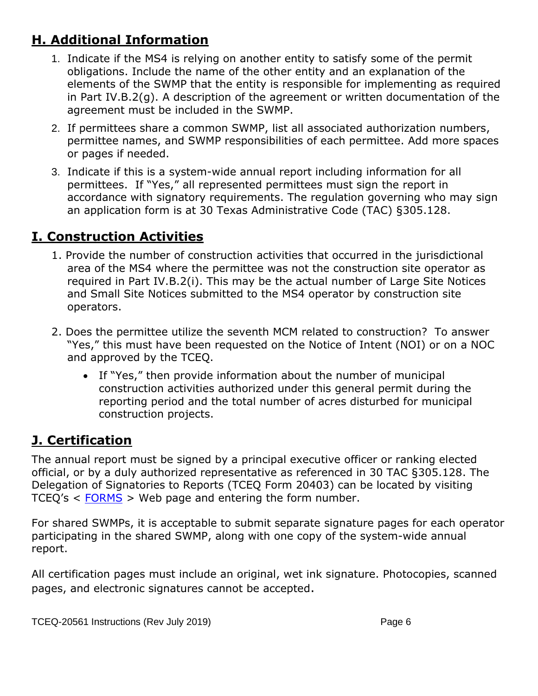### **H. Additional Information**

- 1. Indicate if the MS4 is relying on another entity to satisfy some of the permit obligations. Include the name of the other entity and an explanation of the elements of the SWMP that the entity is responsible for implementing as required in Part IV.B.2(g). A description of the agreement or written documentation of the agreement must be included in the SWMP.
- 2. If permittees share a common SWMP, list all associated authorization numbers, permittee names, and SWMP responsibilities of each permittee. Add more spaces or pages if needed.
- 3. Indicate if this is a system-wide annual report including information for all permittees. If "Yes," all represented permittees must sign the report in accordance with signatory requirements. The regulation governing who may sign an application form is at 30 Texas Administrative Code (TAC) §305.128.

### **I. Construction Activities**

- 1. Provide the number of construction activities that occurred in the jurisdictional area of the MS4 where the permittee was not the construction site operator as required in Part IV.B.2(i). This may be the actual number of Large Site Notices and Small Site Notices submitted to the MS4 operator by construction site operators.
- 2. Does the permittee utilize the seventh MCM related to construction? To answer "Yes," this must have been requested on the Notice of Intent (NOI) or on a NOC and approved by the TCEQ.
	- If "Yes," then provide information about the number of municipal construction activities authorized under this general permit during the reporting period and the total number of acres disturbed for municipal construction projects.

## **J. Certification**

The annual report must be signed by a principal executive officer or ranking elected official, or by a duly authorized representative as referenced in 30 TAC §305.128. The Delegation of Signatories to Reports (TCEQ Form 20403) can be located by visiting TCEQ's < [FORMS](https://www.tceq.texas.gov/search_forms.html) > Web page and entering the form number.

For shared SWMPs, it is acceptable to submit separate signature pages for each operator participating in the shared SWMP, along with one copy of the system-wide annual report.

All certification pages must include an original, wet ink signature. Photocopies, scanned pages, and electronic signatures cannot be accepted.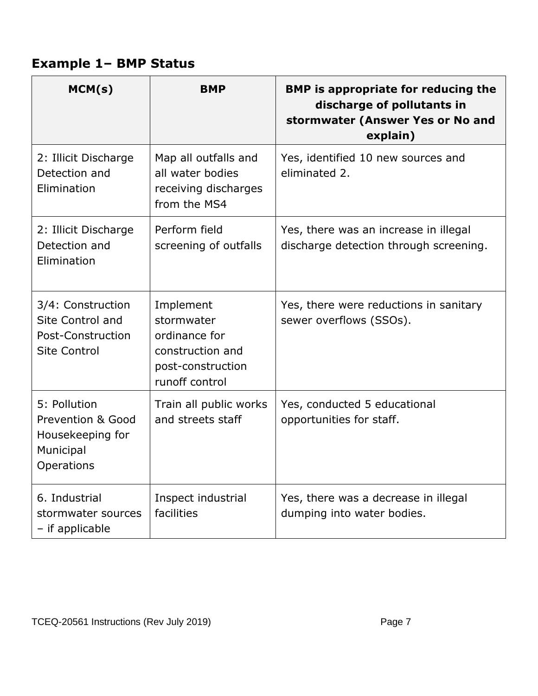## **Example 1– BMP Status**

| MCM(s)                                                                                  | <b>BMP</b>                                                                                          | <b>BMP</b> is appropriate for reducing the<br>discharge of pollutants in<br>stormwater (Answer Yes or No and<br>explain) |
|-----------------------------------------------------------------------------------------|-----------------------------------------------------------------------------------------------------|--------------------------------------------------------------------------------------------------------------------------|
| 2: Illicit Discharge<br>Detection and<br>Elimination                                    | Map all outfalls and<br>all water bodies<br>receiving discharges<br>from the MS4                    | Yes, identified 10 new sources and<br>eliminated 2.                                                                      |
| 2: Illicit Discharge<br>Detection and<br>Elimination                                    | Perform field<br>screening of outfalls                                                              | Yes, there was an increase in illegal<br>discharge detection through screening.                                          |
| 3/4: Construction<br>Site Control and<br>Post-Construction<br><b>Site Control</b>       | Implement<br>stormwater<br>ordinance for<br>construction and<br>post-construction<br>runoff control | Yes, there were reductions in sanitary<br>sewer overflows (SSOs).                                                        |
| 5: Pollution<br>Prevention & Good<br>Housekeeping for<br>Municipal<br><b>Operations</b> | Train all public works<br>and streets staff                                                         | Yes, conducted 5 educational<br>opportunities for staff.                                                                 |
| 6. Industrial<br>stormwater sources<br>- if applicable                                  | Inspect industrial<br>facilities                                                                    | Yes, there was a decrease in illegal<br>dumping into water bodies.                                                       |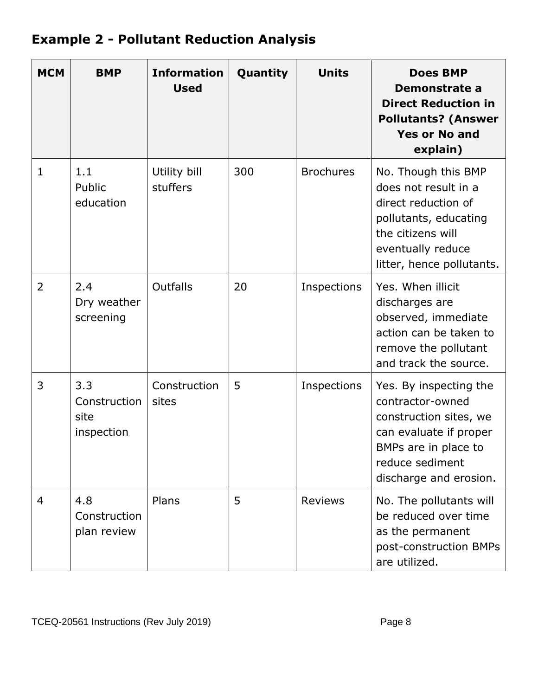# **Example 2 - Pollutant Reduction Analysis**

| <b>MCM</b>     | <b>BMP</b>                                | <b>Information</b><br><b>Used</b> | Quantity | <b>Units</b>     | <b>Does BMP</b><br>Demonstrate a<br><b>Direct Reduction in</b><br><b>Pollutants? (Answer</b><br><b>Yes or No and</b><br>explain)                                    |
|----------------|-------------------------------------------|-----------------------------------|----------|------------------|---------------------------------------------------------------------------------------------------------------------------------------------------------------------|
| $\mathbf{1}$   | 1.1<br>Public<br>education                | Utility bill<br>stuffers          | 300      | <b>Brochures</b> | No. Though this BMP<br>does not result in a<br>direct reduction of<br>pollutants, educating<br>the citizens will<br>eventually reduce<br>litter, hence pollutants.  |
| $\overline{2}$ | 2.4<br>Dry weather<br>screening           | Outfalls                          | 20       | Inspections      | Yes. When illicit<br>discharges are<br>observed, immediate<br>action can be taken to<br>remove the pollutant<br>and track the source.                               |
| 3              | 3.3<br>Construction<br>site<br>inspection | Construction<br>sites             | 5        | Inspections      | Yes. By inspecting the<br>contractor-owned<br>construction sites, we<br>can evaluate if proper<br>BMPs are in place to<br>reduce sediment<br>discharge and erosion. |
| 4              | 4.8<br>Construction<br>plan review        | Plans                             | 5        | <b>Reviews</b>   | No. The pollutants will<br>be reduced over time<br>as the permanent<br>post-construction BMPs<br>are utilized.                                                      |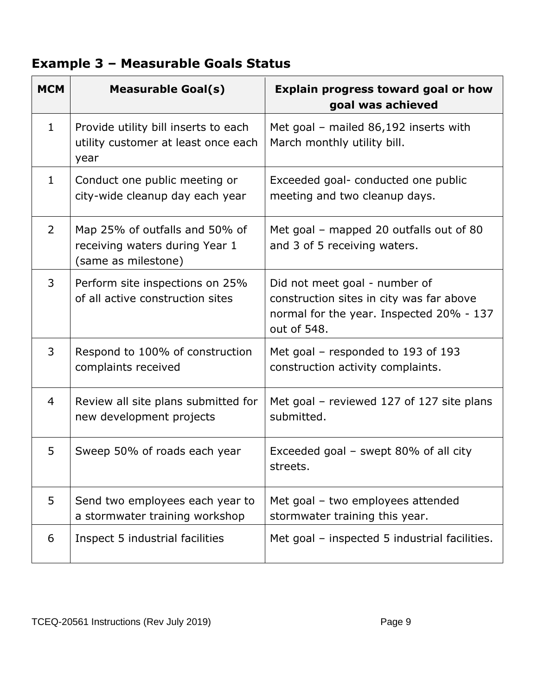### **Example 3 – Measurable Goals Status**

| <b>MCM</b>     | <b>Measurable Goal(s)</b>                                                               | <b>Explain progress toward goal or how</b><br>goal was achieved                                                                      |
|----------------|-----------------------------------------------------------------------------------------|--------------------------------------------------------------------------------------------------------------------------------------|
| $\mathbf{1}$   | Provide utility bill inserts to each<br>utility customer at least once each<br>year     | Met goal - mailed 86,192 inserts with<br>March monthly utility bill.                                                                 |
| $\mathbf{1}$   | Conduct one public meeting or<br>city-wide cleanup day each year                        | Exceeded goal- conducted one public<br>meeting and two cleanup days.                                                                 |
| $\overline{2}$ | Map 25% of outfalls and 50% of<br>receiving waters during Year 1<br>(same as milestone) | Met goal – mapped 20 outfalls out of 80<br>and 3 of 5 receiving waters.                                                              |
| 3              | Perform site inspections on 25%<br>of all active construction sites                     | Did not meet goal - number of<br>construction sites in city was far above<br>normal for the year. Inspected 20% - 137<br>out of 548. |
| 3              | Respond to 100% of construction<br>complaints received                                  | Met goal – responded to 193 of 193<br>construction activity complaints.                                                              |
| $\overline{4}$ | Review all site plans submitted for<br>new development projects                         | Met goal – reviewed 127 of 127 site plans<br>submitted.                                                                              |
| 5              | Sweep 50% of roads each year                                                            | Exceeded goal – swept 80% of all city<br>streets.                                                                                    |
| 5              | Send two employees each year to<br>a stormwater training workshop                       | Met goal - two employees attended<br>stormwater training this year.                                                                  |
| 6              | Inspect 5 industrial facilities                                                         | Met goal - inspected 5 industrial facilities.                                                                                        |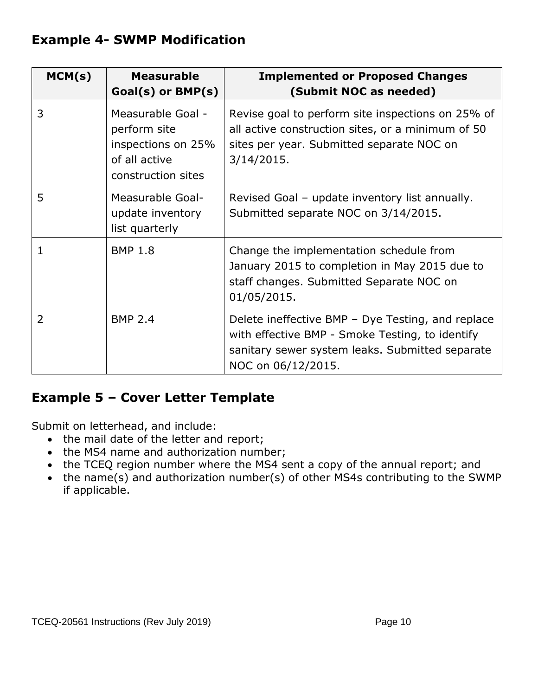#### **Example 4- SWMP Modification**

| MCM(s)         | <b>Measurable</b><br>$Goal(s)$ or $BMP(s)$                                                     | <b>Implemented or Proposed Changes</b><br>(Submit NOC as needed)                                                                                                              |
|----------------|------------------------------------------------------------------------------------------------|-------------------------------------------------------------------------------------------------------------------------------------------------------------------------------|
| 3              | Measurable Goal -<br>perform site<br>inspections on 25%<br>of all active<br>construction sites | Revise goal to perform site inspections on 25% of<br>all active construction sites, or a minimum of 50<br>sites per year. Submitted separate NOC on<br>$3/14/2015$ .          |
| 5              | Measurable Goal-<br>update inventory<br>list quarterly                                         | Revised Goal – update inventory list annually.<br>Submitted separate NOC on 3/14/2015.                                                                                        |
| 1              | <b>BMP 1.8</b>                                                                                 | Change the implementation schedule from<br>January 2015 to completion in May 2015 due to<br>staff changes. Submitted Separate NOC on<br>01/05/2015.                           |
| $\overline{2}$ | <b>BMP 2.4</b>                                                                                 | Delete ineffective BMP - Dye Testing, and replace<br>with effective BMP - Smoke Testing, to identify<br>sanitary sewer system leaks. Submitted separate<br>NOC on 06/12/2015. |

#### **Example 5 – Cover Letter Template**

Submit on letterhead, and include:

- the mail date of the letter and report;
- the MS4 name and authorization number;
- the TCEQ region number where the MS4 sent a copy of the annual report; and
- the name(s) and authorization number(s) of other MS4s contributing to the SWMP if applicable.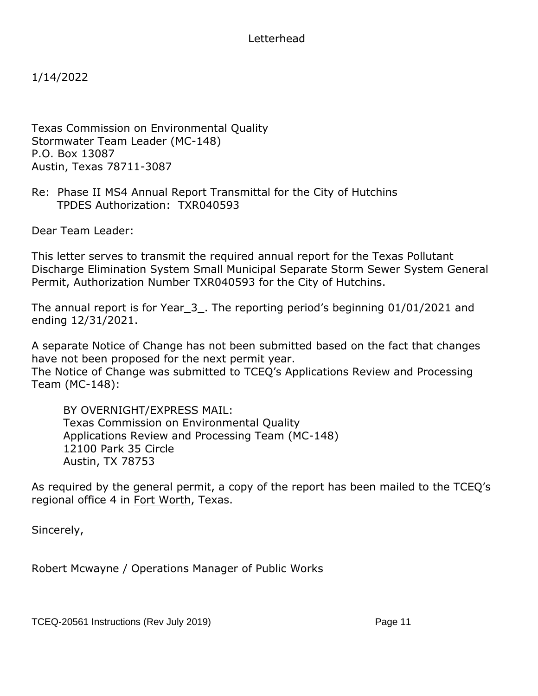Letterhead

1/14/2022

Texas Commission on Environmental Quality Stormwater Team Leader (MC-148) P.O. Box 13087 Austin, Texas 78711-3087

Re: Phase II MS4 Annual Report Transmittal for the City of Hutchins TPDES Authorization: TXR040593

Dear Team Leader:

This letter serves to transmit the required annual report for the Texas Pollutant Discharge Elimination System Small Municipal Separate Storm Sewer System General Permit, Authorization Number TXR040593 for the City of Hutchins.

The annual report is for Year\_3\_. The reporting period's beginning 01/01/2021 and ending 12/31/2021.

A separate Notice of Change has not been submitted based on the fact that changes have not been proposed for the next permit year.

The Notice of Change was submitted to TCEQ's Applications Review and Processing Team (MC-148):

BY OVERNIGHT/EXPRESS MAIL: Texas Commission on Environmental Quality Applications Review and Processing Team (MC-148) 12100 Park 35 Circle Austin, TX 78753

As required by the general permit, a copy of the report has been mailed to the TCEQ's regional office 4 in Fort Worth, Texas.

Sincerely,

Robert Mcwayne / Operations Manager of Public Works

TCEQ-20561 Instructions (Rev July 2019) Page 11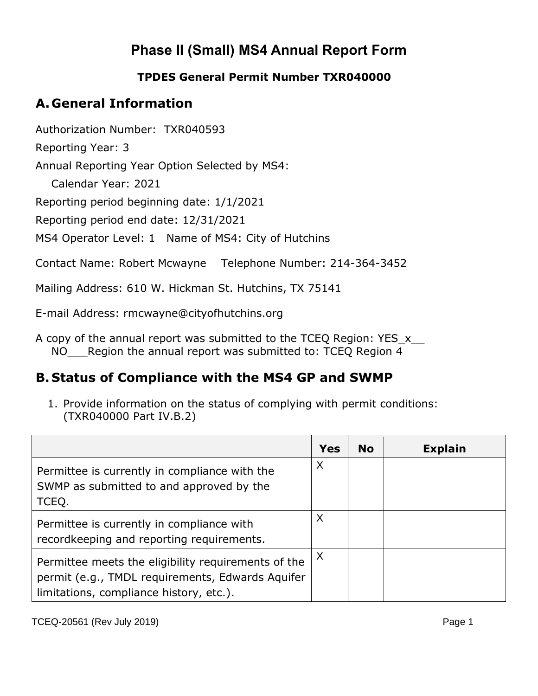### **Phase II (Small) MS4 Annual Report Form**

#### **TPDES General Permit Number TXR040000**

#### **A. General Information**

Authorization Number: TXR040593

Reporting Year: 3

Annual Reporting Year Option Selected by MS4:

Calendar Year: 2021

Reporting period beginning date: 1/1/2021

Reporting period end date: 12/31/2021

MS4 Operator Level: 1 Name of MS4: City of Hutchins

Contact Name: Robert Mcwayne Telephone Number: 214-364-3452

Mailing Address: 610 W. Hickman St. Hutchins, TX 75141

E-mail Address: rmcwayne@cityofhutchins.org

A copy of the annual report was submitted to the TCEO Region: YES x NO\_\_\_\_Region the annual report was submitted to: TCEQ Region 4

#### **B. Status of Compliance with the MS4 GP and SWMP**

1. Provide information on the status of complying with permit conditions: (TXR040000 Part IV.B.2)

|                                                                                                                                                    | <b>Yes</b> | <b>No</b> | <b>Explain</b> |
|----------------------------------------------------------------------------------------------------------------------------------------------------|------------|-----------|----------------|
| Permittee is currently in compliance with the<br>SWMP as submitted to and approved by the<br>TCEQ.                                                 | X          |           |                |
| Permittee is currently in compliance with<br>recordkeeping and reporting requirements.                                                             | X          |           |                |
| Permittee meets the eligibility requirements of the<br>permit (e.g., TMDL requirements, Edwards Aquifer<br>limitations, compliance history, etc.). | X          |           |                |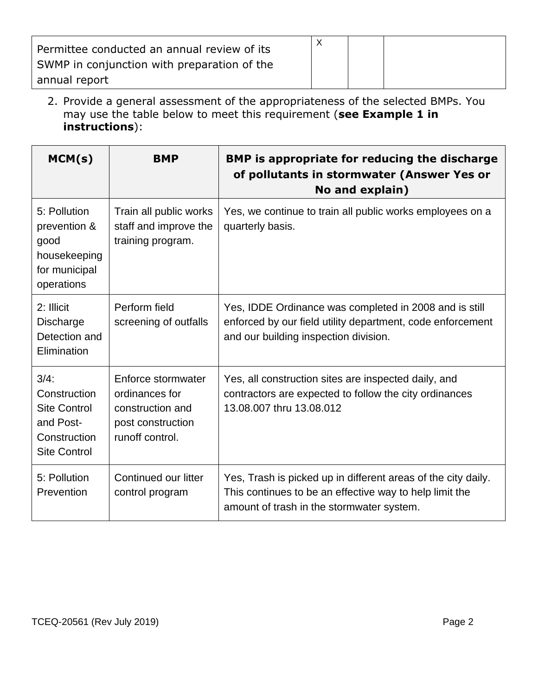| Permittee conducted an annual review of its<br>SWMP in conjunction with preparation of the |  |  |
|--------------------------------------------------------------------------------------------|--|--|
| annual report                                                                              |  |  |

2. Provide a general assessment of the appropriateness of the selected BMPs. You may use the table below to meet this requirement (**see Example 1 in instructions**):

| MCM(s)                                                                                             | <b>BMP</b>                                                                                       | <b>BMP</b> is appropriate for reducing the discharge<br>of pollutants in stormwater (Answer Yes or<br>No and explain)                                                 |
|----------------------------------------------------------------------------------------------------|--------------------------------------------------------------------------------------------------|-----------------------------------------------------------------------------------------------------------------------------------------------------------------------|
| 5: Pollution<br>prevention &<br>good<br>housekeeping<br>for municipal<br>operations                | Train all public works<br>staff and improve the<br>training program.                             | Yes, we continue to train all public works employees on a<br>quarterly basis.                                                                                         |
| 2: Illicit<br><b>Discharge</b><br>Detection and<br>Elimination                                     | Perform field<br>screening of outfalls                                                           | Yes, IDDE Ordinance was completed in 2008 and is still<br>enforced by our field utility department, code enforcement<br>and our building inspection division.         |
| $3/4$ :<br>Construction<br><b>Site Control</b><br>and Post-<br>Construction<br><b>Site Control</b> | Enforce stormwater<br>ordinances for<br>construction and<br>post construction<br>runoff control. | Yes, all construction sites are inspected daily, and<br>contractors are expected to follow the city ordinances<br>13.08.007 thru 13.08.012                            |
| 5: Pollution<br>Prevention                                                                         | Continued our litter<br>control program                                                          | Yes, Trash is picked up in different areas of the city daily.<br>This continues to be an effective way to help limit the<br>amount of trash in the stormwater system. |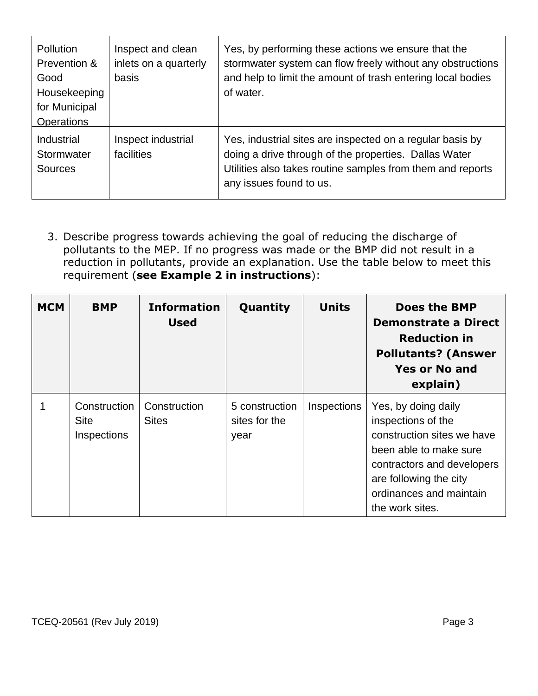| <b>Pollution</b><br>Prevention &<br>Good<br>Housekeeping<br>for Municipal<br><b>Operations</b> | Inspect and clean<br>inlets on a quarterly<br>basis | Yes, by performing these actions we ensure that the<br>stormwater system can flow freely without any obstructions<br>and help to limit the amount of trash entering local bodies<br>of water.               |
|------------------------------------------------------------------------------------------------|-----------------------------------------------------|-------------------------------------------------------------------------------------------------------------------------------------------------------------------------------------------------------------|
| Industrial<br>Stormwater<br><b>Sources</b>                                                     | Inspect industrial<br>facilities                    | Yes, industrial sites are inspected on a regular basis by<br>doing a drive through of the properties. Dallas Water<br>Utilities also takes routine samples from them and reports<br>any issues found to us. |

3. Describe progress towards achieving the goal of reducing the discharge of pollutants to the MEP. If no progress was made or the BMP did not result in a reduction in pollutants, provide an explanation. Use the table below to meet this requirement (**see Example 2 in instructions**):

| <b>MCM</b> | <b>BMP</b>                                 | <b>Information</b><br><b>Used</b> | Quantity                                | <b>Units</b> | <b>Does the BMP</b><br>Demonstrate a Direct<br><b>Reduction in</b><br><b>Pollutants? (Answer</b><br><b>Yes or No and</b><br>explain)                                                                    |
|------------|--------------------------------------------|-----------------------------------|-----------------------------------------|--------------|---------------------------------------------------------------------------------------------------------------------------------------------------------------------------------------------------------|
|            | Construction<br><b>Site</b><br>Inspections | Construction<br><b>Sites</b>      | 5 construction<br>sites for the<br>year | Inspections  | Yes, by doing daily<br>inspections of the<br>construction sites we have<br>been able to make sure<br>contractors and developers<br>are following the city<br>ordinances and maintain<br>the work sites. |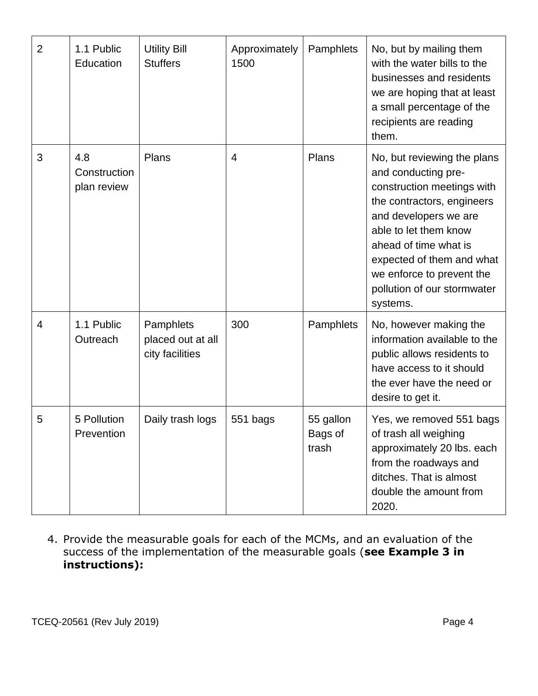| $\overline{2}$ | 1.1 Public<br>Education            | <b>Utility Bill</b><br><b>Stuffers</b>            | Approximately<br>1500 | Pamphlets                     | No, but by mailing them<br>with the water bills to the<br>businesses and residents<br>we are hoping that at least<br>a small percentage of the<br>recipients are reading<br>them.                                                                                                              |
|----------------|------------------------------------|---------------------------------------------------|-----------------------|-------------------------------|------------------------------------------------------------------------------------------------------------------------------------------------------------------------------------------------------------------------------------------------------------------------------------------------|
| 3              | 4.8<br>Construction<br>plan review | Plans                                             | $\overline{4}$        | Plans                         | No, but reviewing the plans<br>and conducting pre-<br>construction meetings with<br>the contractors, engineers<br>and developers we are<br>able to let them know<br>ahead of time what is<br>expected of them and what<br>we enforce to prevent the<br>pollution of our stormwater<br>systems. |
| $\overline{4}$ | 1.1 Public<br>Outreach             | Pamphlets<br>placed out at all<br>city facilities | 300                   | Pamphlets                     | No, however making the<br>information available to the<br>public allows residents to<br>have access to it should<br>the ever have the need or<br>desire to get it.                                                                                                                             |
| 5              | 5 Pollution<br>Prevention          | Daily trash logs                                  | 551 bags              | 55 gallon<br>Bags of<br>trash | Yes, we removed 551 bags<br>of trash all weighing<br>approximately 20 lbs. each<br>from the roadways and<br>ditches. That is almost<br>double the amount from<br>2020.                                                                                                                         |

4. Provide the measurable goals for each of the MCMs, and an evaluation of the success of the implementation of the measurable goals (**see Example 3 in instructions):**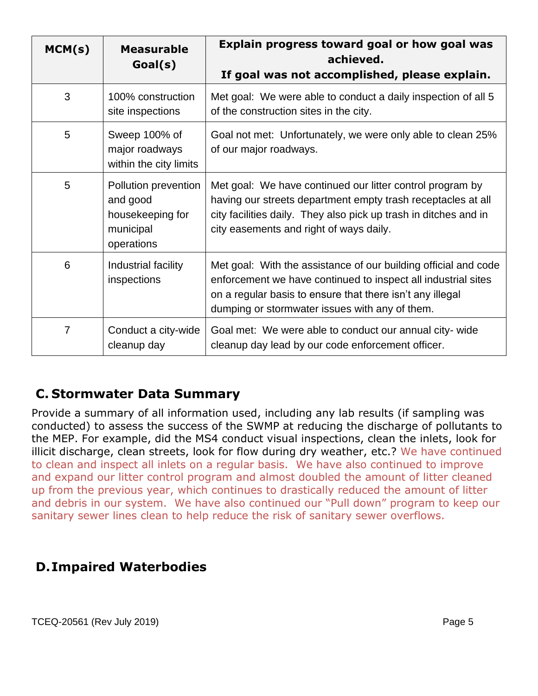| MCM(s)         | <b>Measurable</b><br>Goal(s)                                                    | Explain progress toward goal or how goal was<br>achieved.<br>If goal was not accomplished, please explain.                                                                                                                                      |
|----------------|---------------------------------------------------------------------------------|-------------------------------------------------------------------------------------------------------------------------------------------------------------------------------------------------------------------------------------------------|
| 3              | 100% construction<br>site inspections                                           | Met goal: We were able to conduct a daily inspection of all 5<br>of the construction sites in the city.                                                                                                                                         |
| 5              | Sweep 100% of<br>major roadways<br>within the city limits                       | Goal not met: Unfortunately, we were only able to clean 25%<br>of our major roadways.                                                                                                                                                           |
| 5              | Pollution prevention<br>and good<br>housekeeping for<br>municipal<br>operations | Met goal: We have continued our litter control program by<br>having our streets department empty trash receptacles at all<br>city facilities daily. They also pick up trash in ditches and in<br>city easements and right of ways daily.        |
| 6              | Industrial facility<br>inspections                                              | Met goal: With the assistance of our building official and code<br>enforcement we have continued to inspect all industrial sites<br>on a regular basis to ensure that there isn't any illegal<br>dumping or stormwater issues with any of them. |
| $\overline{7}$ | Conduct a city-wide<br>cleanup day                                              | Goal met: We were able to conduct our annual city-wide<br>cleanup day lead by our code enforcement officer.                                                                                                                                     |

#### **C. Stormwater Data Summary**

Provide a summary of all information used, including any lab results (if sampling was conducted) to assess the success of the SWMP at reducing the discharge of pollutants to the MEP. For example, did the MS4 conduct visual inspections, clean the inlets, look for illicit discharge, clean streets, look for flow during dry weather, etc.? We have continued to clean and inspect all inlets on a regular basis. We have also continued to improve and expand our litter control program and almost doubled the amount of litter cleaned up from the previous year, which continues to drastically reduced the amount of litter and debris in our system. We have also continued our "Pull down" program to keep our sanitary sewer lines clean to help reduce the risk of sanitary sewer overflows.

#### **D.Impaired Waterbodies**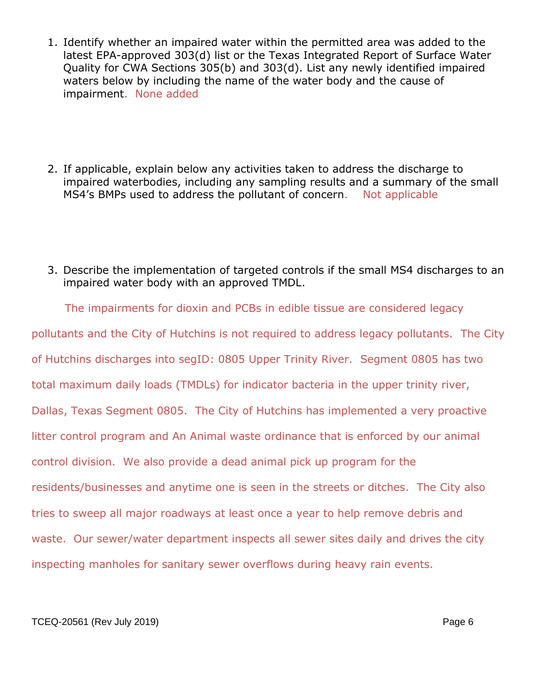- 1. Identify whether an impaired water within the permitted area was added to the latest EPA-approved 303(d) list or the Texas Integrated Report of Surface Water Quality for CWA Sections 305(b) and 303(d). List any newly identified impaired waters below by including the name of the water body and the cause of impairment. None added
- 2. If applicable, explain below any activities taken to address the discharge to impaired waterbodies, including any sampling results and a summary of the small MS4's BMPs used to address the pollutant of concern. Not applicable
- 3. Describe the implementation of targeted controls if the small MS4 discharges to an impaired water body with an approved TMDL.

 The impairments for dioxin and PCBs in edible tissue are considered legacy pollutants and the City of Hutchins is not required to address legacy pollutants. The City of Hutchins discharges into segID: 0805 Upper Trinity River. Segment 0805 has two total maximum daily loads (TMDLs) for indicator bacteria in the upper trinity river, Dallas, Texas Segment 0805. The City of Hutchins has implemented a very proactive litter control program and An Animal waste ordinance that is enforced by our animal control division. We also provide a dead animal pick up program for the residents/businesses and anytime one is seen in the streets or ditches. The City also tries to sweep all major roadways at least once a year to help remove debris and waste. Our sewer/water department inspects all sewer sites daily and drives the city inspecting manholes for sanitary sewer overflows during heavy rain events.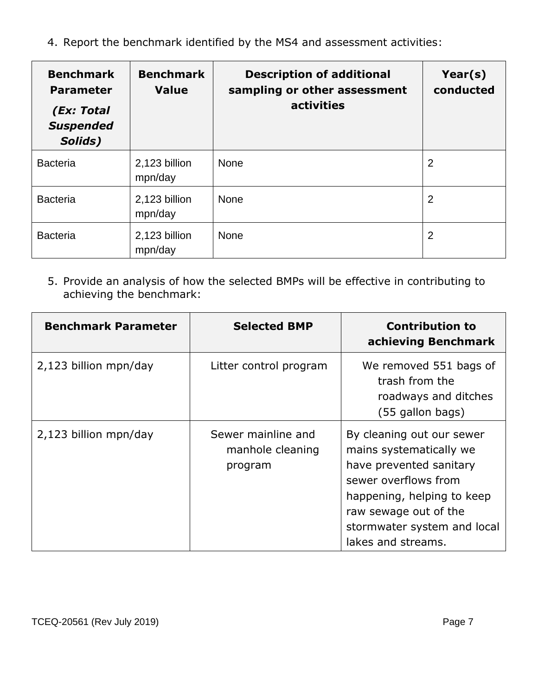4. Report the benchmark identified by the MS4 and assessment activities:

| <b>Benchmark</b><br><b>Parameter</b><br>(Ex: Total<br><b>Suspended</b><br>Solids) | <b>Benchmark</b><br><b>Value</b> | <b>Description of additional</b><br>sampling or other assessment<br>activities | Year(s)<br>conducted |
|-----------------------------------------------------------------------------------|----------------------------------|--------------------------------------------------------------------------------|----------------------|
| <b>Bacteria</b>                                                                   | 2,123 billion<br>mpn/day         | <b>None</b>                                                                    | $\overline{2}$       |
| <b>Bacteria</b>                                                                   | 2,123 billion<br>mpn/day         | None                                                                           | $\overline{2}$       |
| <b>Bacteria</b>                                                                   | 2,123 billion<br>mpn/day         | None                                                                           | $\overline{2}$       |

5. Provide an analysis of how the selected BMPs will be effective in contributing to achieving the benchmark:

| <b>Benchmark Parameter</b> | <b>Selected BMP</b>                               | <b>Contribution to</b><br>achieving Benchmark                                                                                                                                                                       |
|----------------------------|---------------------------------------------------|---------------------------------------------------------------------------------------------------------------------------------------------------------------------------------------------------------------------|
| 2,123 billion mpn/day      | Litter control program                            | We removed 551 bags of<br>trash from the<br>roadways and ditches<br>(55 gallon bags)                                                                                                                                |
| 2,123 billion mpn/day      | Sewer mainline and<br>manhole cleaning<br>program | By cleaning out our sewer<br>mains systematically we<br>have prevented sanitary<br>sewer overflows from<br>happening, helping to keep<br>raw sewage out of the<br>stormwater system and local<br>lakes and streams. |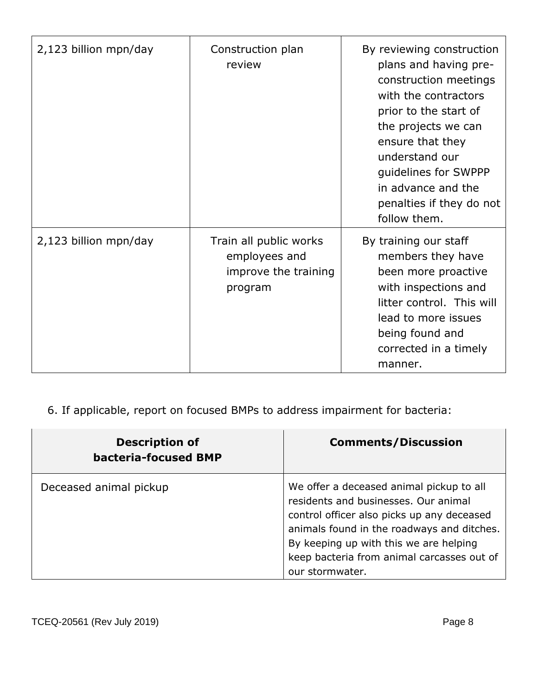| 2,123 billion mpn/day | Construction plan<br>review                                                | By reviewing construction<br>plans and having pre-<br>construction meetings<br>with the contractors<br>prior to the start of<br>the projects we can<br>ensure that they<br>understand our<br>guidelines for SWPPP<br>in advance and the<br>penalties if they do not<br>follow them. |
|-----------------------|----------------------------------------------------------------------------|-------------------------------------------------------------------------------------------------------------------------------------------------------------------------------------------------------------------------------------------------------------------------------------|
| 2,123 billion mpn/day | Train all public works<br>employees and<br>improve the training<br>program | By training our staff<br>members they have<br>been more proactive<br>with inspections and<br>litter control. This will<br>lead to more issues<br>being found and<br>corrected in a timely<br>manner.                                                                                |

6. If applicable, report on focused BMPs to address impairment for bacteria:

| <b>Description of</b><br><b>bacteria-focused BMP</b> | <b>Comments/Discussion</b>                                                                                                                                                                                                                                                              |
|------------------------------------------------------|-----------------------------------------------------------------------------------------------------------------------------------------------------------------------------------------------------------------------------------------------------------------------------------------|
| Deceased animal pickup                               | We offer a deceased animal pickup to all<br>residents and businesses. Our animal<br>control officer also picks up any deceased<br>animals found in the roadways and ditches.<br>By keeping up with this we are helping<br>keep bacteria from animal carcasses out of<br>our stormwater. |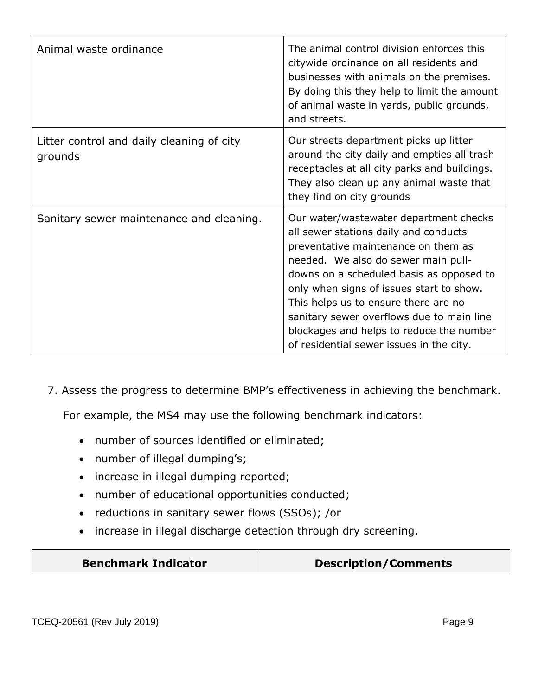| Animal waste ordinance                               | The animal control division enforces this<br>citywide ordinance on all residents and<br>businesses with animals on the premises.<br>By doing this they help to limit the amount<br>of animal waste in yards, public grounds,<br>and streets.                                                                                                                                                                                       |
|------------------------------------------------------|------------------------------------------------------------------------------------------------------------------------------------------------------------------------------------------------------------------------------------------------------------------------------------------------------------------------------------------------------------------------------------------------------------------------------------|
| Litter control and daily cleaning of city<br>grounds | Our streets department picks up litter<br>around the city daily and empties all trash<br>receptacles at all city parks and buildings.<br>They also clean up any animal waste that<br>they find on city grounds                                                                                                                                                                                                                     |
| Sanitary sewer maintenance and cleaning.             | Our water/wastewater department checks<br>all sewer stations daily and conducts<br>preventative maintenance on them as<br>needed. We also do sewer main pull-<br>downs on a scheduled basis as opposed to<br>only when signs of issues start to show.<br>This helps us to ensure there are no<br>sanitary sewer overflows due to main line<br>blockages and helps to reduce the number<br>of residential sewer issues in the city. |

7. Assess the progress to determine BMP's effectiveness in achieving the benchmark.

For example, the MS4 may use the following benchmark indicators:

- number of sources identified or eliminated;
- number of illegal dumping's;
- increase in illegal dumping reported;
- number of educational opportunities conducted;
- reductions in sanitary sewer flows (SSOs); /or
- increase in illegal discharge detection through dry screening.

|  | <b>Benchmark Indicator</b> | <b>Description/Comments</b> |
|--|----------------------------|-----------------------------|
|--|----------------------------|-----------------------------|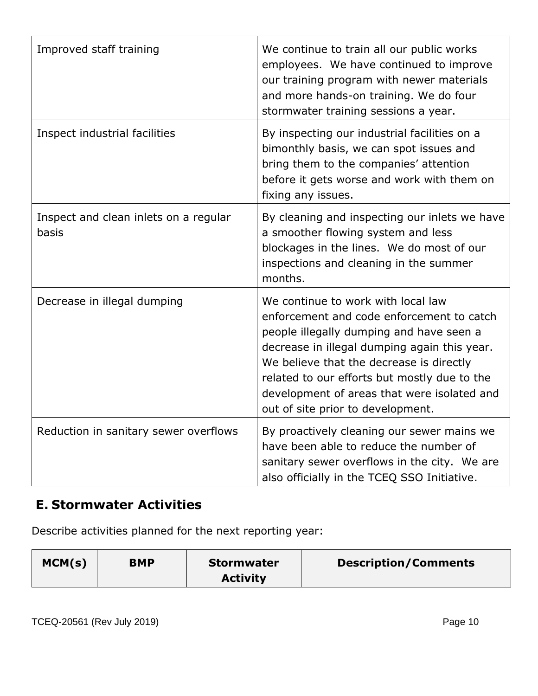| Improved staff training                        | We continue to train all our public works<br>employees. We have continued to improve<br>our training program with newer materials<br>and more hands-on training. We do four<br>stormwater training sessions a year.                                                                                                                                         |
|------------------------------------------------|-------------------------------------------------------------------------------------------------------------------------------------------------------------------------------------------------------------------------------------------------------------------------------------------------------------------------------------------------------------|
| Inspect industrial facilities                  | By inspecting our industrial facilities on a<br>bimonthly basis, we can spot issues and<br>bring them to the companies' attention<br>before it gets worse and work with them on<br>fixing any issues.                                                                                                                                                       |
| Inspect and clean inlets on a regular<br>basis | By cleaning and inspecting our inlets we have<br>a smoother flowing system and less<br>blockages in the lines. We do most of our<br>inspections and cleaning in the summer<br>months.                                                                                                                                                                       |
| Decrease in illegal dumping                    | We continue to work with local law<br>enforcement and code enforcement to catch<br>people illegally dumping and have seen a<br>decrease in illegal dumping again this year.<br>We believe that the decrease is directly<br>related to our efforts but mostly due to the<br>development of areas that were isolated and<br>out of site prior to development. |
| Reduction in sanitary sewer overflows          | By proactively cleaning our sewer mains we<br>have been able to reduce the number of<br>sanitary sewer overflows in the city. We are<br>also officially in the TCEQ SSO Initiative.                                                                                                                                                                         |

#### **E. Stormwater Activities**

Describe activities planned for the next reporting year:

| MCM(s)<br><b>BMP</b><br>Stormwater<br><b>Activity</b> | <b>Description/Comments</b> |
|-------------------------------------------------------|-----------------------------|
|-------------------------------------------------------|-----------------------------|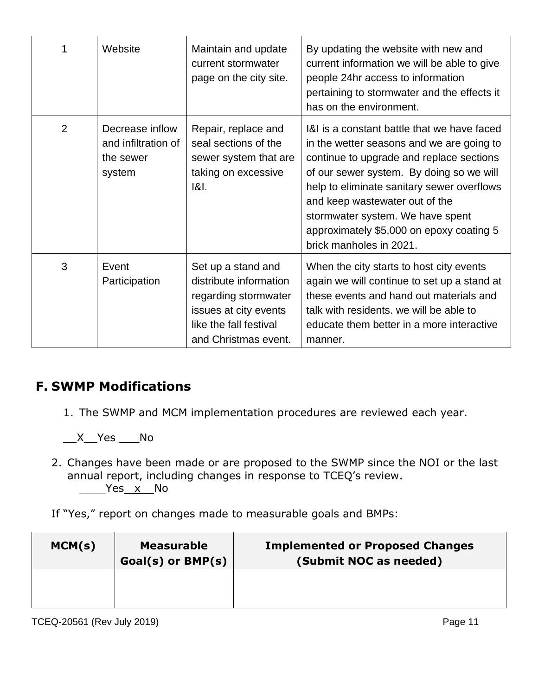| 1              | Website                                                       | Maintain and update<br>current stormwater<br>page on the city site.                                                                             | By updating the website with new and<br>current information we will be able to give<br>people 24hr access to information<br>pertaining to stormwater and the effects it<br>has on the environment.                                                                                                                                                                          |
|----------------|---------------------------------------------------------------|-------------------------------------------------------------------------------------------------------------------------------------------------|-----------------------------------------------------------------------------------------------------------------------------------------------------------------------------------------------------------------------------------------------------------------------------------------------------------------------------------------------------------------------------|
| $\overline{2}$ | Decrease inflow<br>and infiltration of<br>the sewer<br>system | Repair, replace and<br>seal sections of the<br>sewer system that are<br>taking on excessive<br>$ 8 $ .                                          | 1&I is a constant battle that we have faced<br>in the wetter seasons and we are going to<br>continue to upgrade and replace sections<br>of our sewer system. By doing so we will<br>help to eliminate sanitary sewer overflows<br>and keep wastewater out of the<br>stormwater system. We have spent<br>approximately \$5,000 on epoxy coating 5<br>brick manholes in 2021. |
| 3              | Event<br>Participation                                        | Set up a stand and<br>distribute information<br>regarding stormwater<br>issues at city events<br>like the fall festival<br>and Christmas event. | When the city starts to host city events<br>again we will continue to set up a stand at<br>these events and hand out materials and<br>talk with residents, we will be able to<br>educate them better in a more interactive<br>manner.                                                                                                                                       |

#### **F. SWMP Modifications**

1. The SWMP and MCM implementation procedures are reviewed each year.

\_\_X\_\_Yes \_\_\_No

2. Changes have been made or are proposed to the SWMP since the NOI or the last annual report, including changes in response to TCEQ's review.  $\rule{1em}{0.15mm}$   $\frac{\text{Yes} \times \text{No}}{1}$ 

If "Yes," report on changes made to measurable goals and BMPs:

| MCM(s) | <b>Measurable</b><br>$Goal(s)$ or $BMP(s)$ | <b>Implemented or Proposed Changes</b><br>(Submit NOC as needed) |
|--------|--------------------------------------------|------------------------------------------------------------------|
|        |                                            |                                                                  |

TCEQ-20561 (Rev July 2019) **Page 11**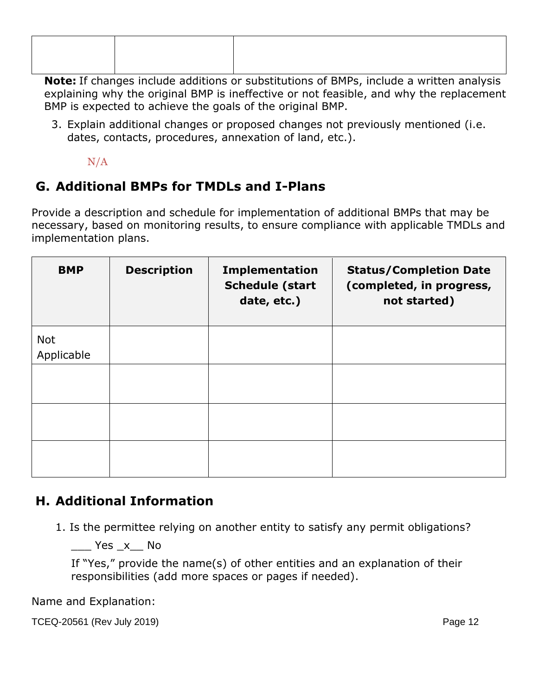**Note:** If changes include additions or substitutions of BMPs, include a written analysis explaining why the original BMP is ineffective or not feasible, and why the replacement BMP is expected to achieve the goals of the original BMP.

3. Explain additional changes or proposed changes not previously mentioned (i.e. dates, contacts, procedures, annexation of land, etc.).

N/A

### **G. Additional BMPs for TMDLs and I-Plans**

Provide a description and schedule for implementation of additional BMPs that may be necessary, based on monitoring results, to ensure compliance with applicable TMDLs and implementation plans.

| <b>BMP</b>               | <b>Description</b> | <b>Implementation</b><br><b>Schedule (start</b><br>date, etc.) | <b>Status/Completion Date</b><br>(completed, in progress,<br>not started) |
|--------------------------|--------------------|----------------------------------------------------------------|---------------------------------------------------------------------------|
| <b>Not</b><br>Applicable |                    |                                                                |                                                                           |
|                          |                    |                                                                |                                                                           |
|                          |                    |                                                                |                                                                           |
|                          |                    |                                                                |                                                                           |

### **H. Additional Information**

1. Is the permittee relying on another entity to satisfy any permit obligations?

Yes x No

If "Yes," provide the name(s) of other entities and an explanation of their responsibilities (add more spaces or pages if needed).

Name and Explanation:

TCEQ-20561 (Rev July 2019) Page 12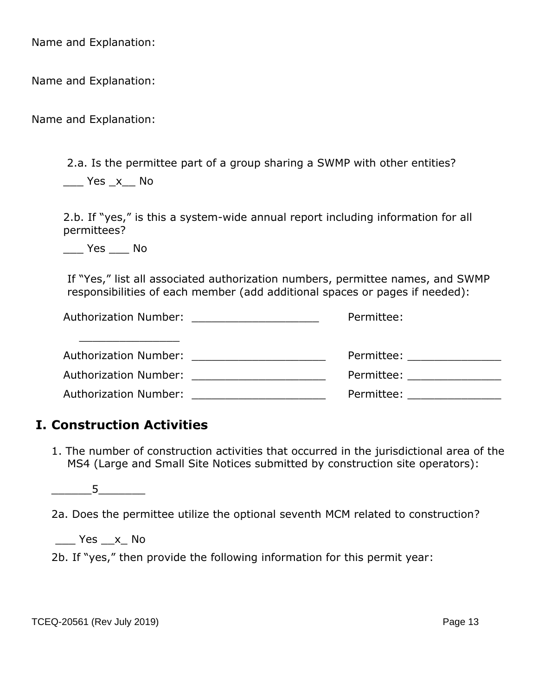Name and Explanation:

Name and Explanation:

Name and Explanation:

2.a. Is the permittee part of a group sharing a SWMP with other entities?

\_\_\_ Yes \_x\_\_ No

2.b. If "yes," is this a system-wide annual report including information for all permittees?

\_\_\_ Yes \_\_\_ No

If "Yes," list all associated authorization numbers, permittee names, and SWMP responsibilities of each member (add additional spaces or pages if needed):

| Authorization Number: ______________________ | Permittee:                                                                                                                                                                                                                     |
|----------------------------------------------|--------------------------------------------------------------------------------------------------------------------------------------------------------------------------------------------------------------------------------|
| Authorization Number:                        | Permittee: when the control of the control of the control of the control of the control of the control of the control of the control of the control of the control of the control of the control of the control of the control |
| Authorization Number: Authorization Number   | Permittee: when the control of the control of the control of the control of the control of the control of the control of the control of the control of the control of the control of the control of the control of the control |
| Authorization Number:                        | Permittee: and the set of the set of the set of the set of the set of the set of the set of the set of the set o                                                                                                               |

#### **I. Construction Activities**

1. The number of construction activities that occurred in the jurisdictional area of the MS4 (Large and Small Site Notices submitted by construction site operators):

 $5$ 

2a. Does the permittee utilize the optional seventh MCM related to construction?

 $Yes$   $x$  No

2b. If "yes," then provide the following information for this permit year: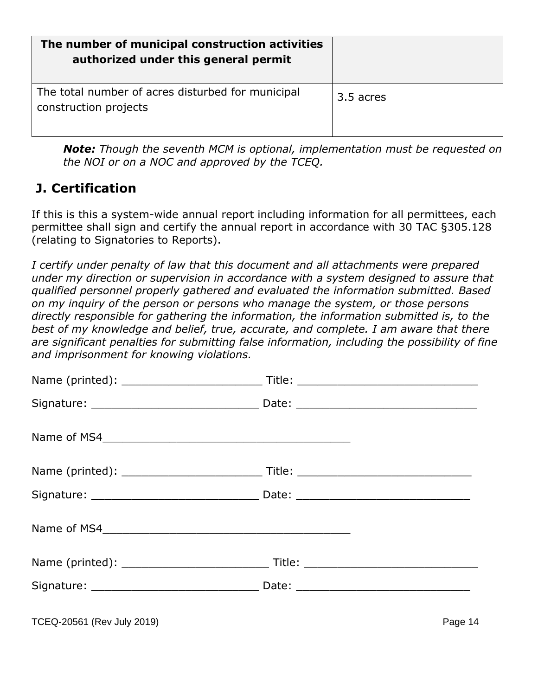| The number of municipal construction activities<br>authorized under this general permit |           |
|-----------------------------------------------------------------------------------------|-----------|
| The total number of acres disturbed for municipal<br>construction projects              | 3.5 acres |

*Note: Though the seventh MCM is optional, implementation must be requested on the NOI or on a NOC and approved by the TCEQ.*

#### **J. Certification**

If this is this a system-wide annual report including information for all permittees, each permittee shall sign and certify the annual report in accordance with 30 TAC §305.128 (relating to Signatories to Reports).

*I certify under penalty of law that this document and all attachments were prepared under my direction or supervision in accordance with a system designed to assure that qualified personnel properly gathered and evaluated the information submitted. Based on my inquiry of the person or persons who manage the system, or those persons directly responsible for gathering the information, the information submitted is, to the*  best of my knowledge and belief, true, accurate, and complete. I am aware that there *are significant penalties for submitting false information, including the possibility of fine and imprisonment for knowing violations.*

| Name of MS4                |         |
|----------------------------|---------|
|                            |         |
|                            |         |
| Name of MS4                |         |
|                            |         |
|                            |         |
| TCEQ-20561 (Rev July 2019) | Page 14 |